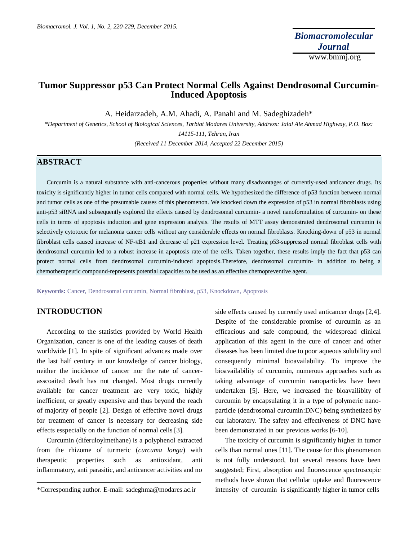# **Tumor Suppressor p53 Can Protect Normal Cells Against Dendrosomal Curcumin-Induced Apoptosis**

A. Heidarzadeh, A.M. Ahadi, A. Panahi and M. Sadeghizadeh\*

*\*Department of Genetics, School of Biological Sciences, Tarbiat Modares University, Address: Jalal Ale Ahmad Highway, P.O. Box: 14115-111, Tehran, Iran*

*(Received 11 December 2014, Accepted 22 December 2015)*

# **ABSTRACT**

Curcumin is a natural substance with anti-cancerous properties without many disadvantages of currently-used anticancer drugs. Its toxicity is significantly higher in tumor cells compared with normal cells. We hypothesized the difference of p53 function between normal and tumor cells as one of the presumable causes of this phenomenon. We knocked down the expression of p53 in normal fibroblasts using anti-p53 siRNA and subsequently explored the effects caused by dendrosomal curcumin- a novel nanoformulation of curcumin- on these cells in terms of apoptosis induction and gene expression analysis. The results of MTT assay demonstrated dendrosomal curcumin is selectively cytotoxic for melanoma cancer cells without any considerable effects on normal fibroblasts. Knocking-down of p53 in normal fibroblast cells caused increase of NF-κB1 and decrease of p21 expression level. Treating p53-suppressed normal fibroblast cells with dendrosomal curcumin led to a robust increase in apoptosis rate of the cells. Taken together, these results imply the fact that p53 can protect normal cells from dendrosomal curcumin-induced apoptosis.Therefore, dendrosomal curcumin- in addition to being a chemotherapeutic compound-represents potential capacities to be used as an effective chemopreventive agent.

**Keywords:** Cancer, Dendrosomal curcumin, Normal fibroblast, p53, Knockdown, Apoptosis

# **INTRODUCTION**

According to the statistics provided by World Health Organization, cancer is one of the leading causes of death worldwide [1]. In spite of significant advances made over the last half century in our knowledge of cancer biology, neither the incidence of cancer nor the rate of cancerasscoaited death has not changed. Most drugs currently available for cancer treatment are very toxic, highly inefficient, or greatly expensive and thus beyond the reach of majority of people [2]. Design of effective novel drugs for treatment of cancer is necessary for decreasing side effects esspecially on the function of normal cells [3].

Curcumin (diferuloylmethane) is a polyphenol extracted from the rhizome of turmeric (*curcuma longa*) with therapeutic properties such as antioxidant, anti inflammatory, anti parasitic, and anticancer activities and no

side effects caused by currently used anticancer drugs [2,4]. Despite of the considerable promise of curcumin as an efficacious and safe compound, the widespread clinical application of this agent in the cure of cancer and other diseases has been limited due to poor aqueous solubility and consequently minimal bioavailability. To improve the bioavailability of curcumin, numerous approaches such as taking advantage of curcumin nanoparticles have been undertaken [5]. Here, we increased the bioavailibity of curcumin by encapsulating it in a type of polymeric nanoparticle (dendrosomal curcumin:DNC) being synthetized by our laboratory. The safety and effectiveness of DNC have been demonstrated in our previous works [6-10].

The toxicity of curcumin is significantly higher in tumor cells than normal ones [11]. The cause for this phenomenon is not fully understood, but several reasons have been suggested; First, absorption and fluorescence spectroscopic methods have shown that cellular uptake and fluorescence intensity of curcumin is significantly higher in tumor cells

<sup>\*</sup>Corresponding author. E-mail: sadeghma@modares.ac.ir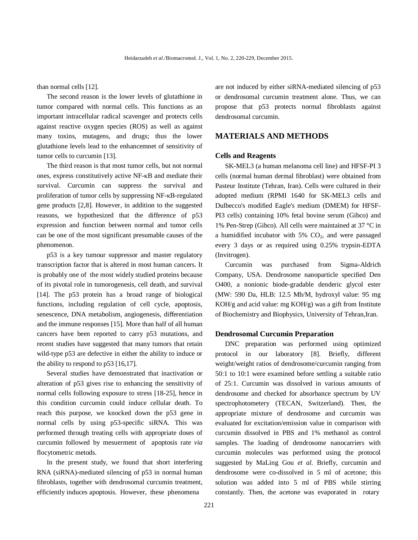than normal cells [12].

The second reason is the lower levels of glutathione in tumor compared with normal cells. This functions as an important intracellular radical scavenger and protects cells against reactive oxygen species (ROS) as well as against many toxins, mutagens, and drugs; thus the lower glutathione levels lead to the enhancemnet of sensitivity of tumor cells to curcumin [13].

The third reason is that most tumor cells, but not normal ones, express constitutively active NF-κB and mediate their survival. Curcumin can suppress the survival and proliferation of tumor cells by suppressing NF-κB-regulated gene products [2,8]. However, in addition to the suggested reasons, we hypothesized that the difference of p53 expression and function between normal and tumor cells can be one of the most significant presumable causes of the phenomenon.

p53 is a key tumour suppressor and master regulatory transcription factor that is altered in most human cancers. It is probably one of the most widely studied proteins because of its pivotal role in tumorogenesis, cell death, and survival [14]. The p53 protein has a broad range of biological functions, including regulation of cell cycle, apoptosis, senescence, DNA metabolism, angiogenesis, differentiation and the immune responses [15]. More than half of all human cancers have been reported to carry p53 mutations, and recent studies have suggested that many tumors that retain wild-type p53 are defective in either the ability to induce or the ability to respond to p53 [16,17].

Several studies have demonstrated that inactivation or alteration of p53 gives rise to enhancing the sensitivity of normal cells following exposure to stress [18-25], hence in this condition curcumin could induce cellular death. To reach this purpose, we knocked down the p53 gene in normal cells by using p53-specific siRNA. This was performed through treating cells with appropriate doses of curcumin followed by mesuerment of apoptosis rate *via* flocytometric metods.

In the present study, we found that short interfering RNA (siRNA)-mediated silencing of p53 in normal human fibroblasts, together with dendrosomal curcumin treatment, efficiently induces apoptosis. However, these phenomena

are not induced by either siRNA-mediated silencing of p53 or dendrosomal curcumin treatment alone. Thus, we can propose that p53 protects normal fibroblasts against dendrosomal curcumin.

# **MATERIALS AND METHODS**

#### **Cells and Reagents**

SK-MEL3 (a human melanoma cell line) and HFSF-PI 3 cells (normal human dermal fibroblast) were obtained from Pasteur Institute (Tehran, Iran). Cells were cultured in their adopted medium (RPMI 1640 for SK-MEL3 cells and Dulbecco's modified Eagle's medium (DMEM) for HFSF-PI3 cells) containing 10% fetal bovine serum (Gibco) and 1% Pen-Strep (Gibco). All cells were maintained at 37 °C in a humidified incubator with  $5\%$  CO<sub>2</sub>, and were passaged every 3 days or as required using 0.25% trypsin-EDTA (Invitrogen).

Curcumin was purchased from Sigma-Aldrich Company, USA. Dendrosome nanoparticle specified Den O400, a nonionic biode-gradable denderic glycol ester (MW: 590 Da, HLB: 12.5 Mh/M, hydroxyl value: 95 mg KOH/g and acid value: mg KOH/g) was a gift from Institute of Biochemistry and Biophysics, University of Tehran,Iran.

### **Dendrosomal Curcumin Preparation**

DNC preparation was performed using optimized protocol in our laboratory [8]. Briefly, different weight/weight ratios of dendrosome/curcumin ranging from 50:1 to 10:1 were examined before settling a suitable ratio of 25:1. Curcumin was dissolved in various amounts of dendrosome and checked for absorbance spectrum by UV spectrophotometery (TECAN, Switzerland). Then, the appropriate mixture of dendrosome and curcumin was evaluated for excitation/emission value in comparison with curcumin dissolved in PBS and 1% methanol as control samples. The loading of dendrosome nanocarriers with curcumin molecules was performed using the protocol suggested by MaLing Gou *et al*. Briefly, curcumin and dendrosome were co-dissolved in 5 ml of acetone; this solution was added into 5 ml of PBS while stirring constantly. Then, the acetone was evaporated in rotary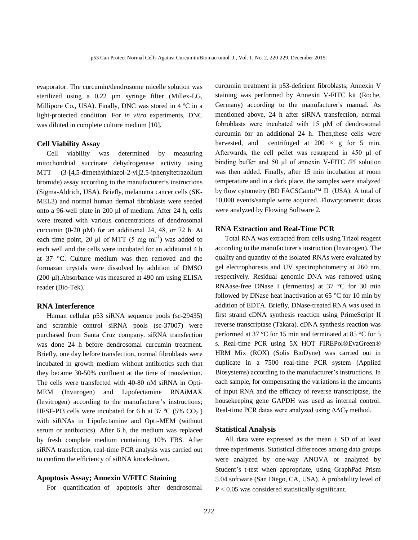evaporator. The curcumin/dendrosome micelle solution was sterilized using a 0.22 µm syringe filter (Millex-LG, Millipore Co., USA). Finally, DNC was stored in 4 ºC in a light-protected condition. For *in vitro* experiments, DNC was diluted in complete culture medium [10].

#### **Cell Viability Assay**

Cell viability was determined by measuring mitochondrial succinate dehydrogenase activity using MTT (3-[4,5-dimethylthiazol-2-yl]2,5-iphenyltetrazolium bromide) assay according to the manufacturer's instructions (Sigma-Aldrich, USA). Briefly, melanoma cancer cells (SK-MEL3) and normal human dermal fibroblasts were seeded onto a 96-well plate in 200 µl of medium. After 24 h, cells were treated with various concentrations of dendrosomal curcumin (0-20  $\mu$ M) for an additional 24, 48, or 72 h. At each time point, 20  $\mu$ l of MTT (5 mg ml<sup>-1</sup>) was added to each well and the cells were incubated for an additional 4 h at 37 °C. Culture medium was then removed and the formazan crystals were dissolved by addition of DMSO (200 µl).Absorbance was measured at 490 nm using ELISA reader (Bio-Tek).

## **RNA Interference**

Human cellular p53 siRNA sequence pools (sc-29435) and scramble control siRNA pools (sc-37007) were purchased from Santa Cruz company. siRNA transfection was done 24 h before dendrosomal curcumin treatment. Briefly, one day before transfection, normal fibroblasts were incubated in growth medium without antibiotics such that they became 30-50% confluent at the time of transfection. The cells were transfected with 40-80 nM siRNA in Opti-MEM (Invitrogen) and Lipofectamine RNAiMAX (Invitrogen) according to the manufacturer's instructions; HFSF-PI3 cells were incubated for 6 h at 37  $\rm{°C}$  (5% CO<sub>2</sub>) with siRNAs in Lipofectamine and Opti-MEM (without serum or antibiotics). After 6 h, the medium was replaced by fresh complete medium containing 10% FBS. After siRNA transfection, real-time PCR analysis was carried out to confirm the efficiency of siRNA knock-down.

## **Apoptosis Assay; Annexin V/FITC Staining**

For quantification of apoptosis after dendrosomal

curcumin treatment in p53-deficient fibroblasts, Annexin V staining was performed by Annexin V-FITC kit (Roche, Germany) according to the manufacturer's manual. As mentioned above, 24 h after siRNA transfection, normal fobroblasts were incubated with 15 μM of dendrosomal curcumin for an additional 24 h. Then,these cells were harvested, and centrifuged at  $200 \times g$  for 5 min. Afterwards, the cell pellet was resuspend in 450 μl of binding buffer and 50 μl of annexin V-FITC /PI solution was then added. Finally, after 15 min incubation at room temperature and in a dark place, the samples were analyzed by flow cytometry (BD FACSCanto™ II (USA). A total of 10,000 events/sample were acquired. Flowcytometric datas were analyzed by Flowing Software 2.

## **RNA Extraction and Real-Time PCR**

Total RNA was extracted from cells using Trizol reagent according to the manufacturer's instruction (Invitrogen). The quality and quantity of the isolated RNAs were evaluated by gel electrophoresis and UV spectrophotometry at 260 nm, respectively. Residual genomic DNA was removed using RNAase-free DNase I (fermentas) at 37 °C for 30 min followed by DNase heat inactivation at 65 °C for 10 min by addition of EDTA. Briefly, DNase-treated RNA was used in first strand cDNA synthesis reaction using PrimeScript II reverse transcriptase (Takara). cDNA synthesis reaction was performed at 37 °C for 15 min and terminated at 85 °C for 5 s. Real-time PCR using 5X HOT FIREPol®EvaGreen® HRM Mix (ROX) (Solis BioDyne) was carried out in duplicate in a 7500 real-time PCR system (Applied Biosystems) according to the manufacturer's instructions. In each sample, for compensating the variations in the amounts of input RNA and the efficacy of reverse transcriptase, the housekeeping gene GAPDH was used as internal control. Real-time PCR datas were analyzed using  $\Delta \Delta C_T$  method.

## **Statistical Analysis**

All data were expressed as the mean  $\pm$  SD of at least three experiments. Statistical differences among data groups were analyzed by one-way ANOVA or analyzed by Student's t-test when appropriate, using GraphPad Prism 5.04 software (San Diego, CA, USA). A probability level of P < 0.05 was considered statistically significant.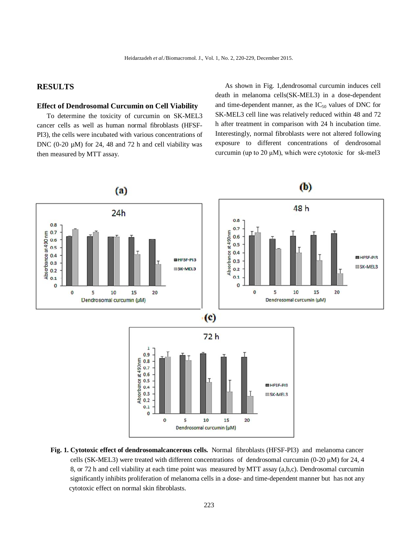# **RESULTS**

## **Effect of Dendrosomal Curcumin on Cell Viability**

To determine the toxicity of curcumin on SK-MEL3 cancer cells as well as human normal fibroblasts (HFSF-PI3), the cells were incubated with various concentrations of DNC (0-20  $\mu$ M) for 24, 48 and 72 h and cell viability was then measured by MTT assay.

As shown in Fig. 1,dendrosomal curcumin induces cell death in melanoma cells(SK-MEL3) in a dose-dependent and time-dependent manner, as the  $IC_{50}$  values of DNC for SK-MEL3 cell line was relatively reduced within 48 and 72 h after treatment in comparison with 24 h incubation time. Interestingly, normal fibroblasts were not altered following exposure to different concentrations of dendrosomal curcumin (up to 20 μM), which were cytotoxic for sk-mel3



**Fig. 1. Cytotoxic effect of dendrosomalcancerous cells.** Normal fibroblasts (HFSF-PI3) and melanoma cancer cells (SK-MEL3) were treated with different concentrations of dendrosomal curcumin (0-20 μM) for 24, 4 8, or 72 h and cell viability at each time point was measured by MTT assay (a,b,c). Dendrosomal curcumin significantly inhibits proliferation of melanoma cells in a dose- and time-dependent manner but has not any cytotoxic effect on normal skin fibroblasts.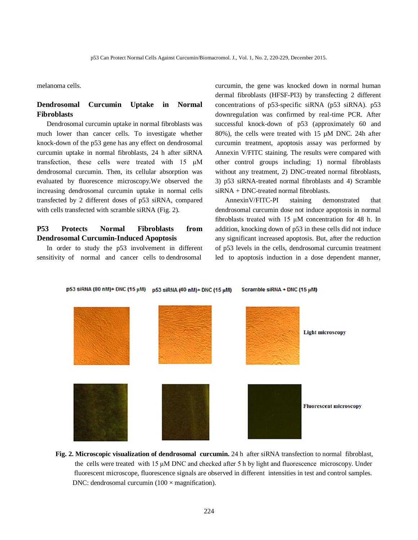melanoma cells.

# **Dendrosomal Curcumin Uptake in Normal Fibroblasts**

Dendrosomal curcumin uptake in normal fibroblasts was much lower than cancer cells. To investigate whether knock-down of the p53 gene has any effect on dendrosomal curcumin uptake in normal fibroblasts, 24 h after siRNA transfection, these cells were treated with 15 μM dendrosomal curcumin. Then, its cellular absorption was evaluated by fluorescence microscopy.We observed the increasing dendrosomal curcumin uptake in normal cells transfected by 2 different doses of p53 siRNA, compared with cells transfected with scramble siRNA (Fig. 2).

# **P53 Protects Normal Fibroblasts from Dendrosomal Curcumin-Induced Apoptosis**

In order to study the p53 involvement in different sensitivity of normal and cancer cells to dendrosomal

curcumin, the gene was knocked down in normal human dermal fibroblasts (HFSF-PI3) by transfecting 2 different concentrations of p53-specific siRNA (p53 siRNA). p53 downregulation was confirmed by real-time PCR. After successful knock-down of p53 (approximately 60 and 80%), the cells were treated with 15 µM DNC. 24h after curcumin treatment, apoptosis assay was performed by Annexin V/FITC staining. The results were compared with other control groups including; 1) normal fibroblasts without any treatment, 2) DNC-treated normal fibroblasts, 3) p53 siRNA-treated normal fibroblasts and 4) Scramble siRNA + DNC-treated normal fibroblasts.

AnnexinV/FITC-PI staining demonstrated that dendrosomal curcumin dose not induce apoptosis in normal fibroblasts treated with 15 μM concentration for 48 h. In addition, knocking down of p53 in these cells did not induce any significant increased apoptosis. But, after the reduction of p53 levels in the cells, dendrosomal curcumin treatment led to apoptosis induction in a dose dependent manner,

#### p53 siRNA (80 nM)+ DNC (15 µM) p53 siRNA (40 nM)+ DNC (15 µM) Scramble siRNA + DNC (15 µM)



**Fig. 2. Microscopic visualization of dendrosomal curcumin.** 24 h after siRNA transfection to normal fibroblast, the cells were treated with 15 μM DNC and checked after 5 h by light and fluorescence microscopy. Under fluorescent microscope, fluorescence signals are observed in different intensities in test and control samples. DNC: dendrosomal curcumin  $(100 \times$  magnification).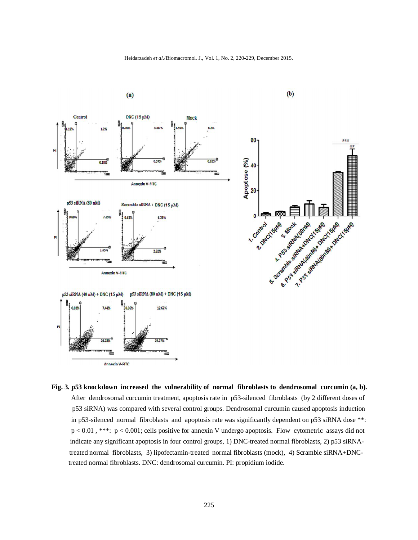Heidarzadeh et al./Biomacromol. J., Vol. 1, No. 2, 220-229, December 2015.



 **Fig. 3. p53 knockdown increased the vulnerability of normal fibroblasts to dendrosomal curcumin (a, b).** After dendrosomal curcumin treatment, apoptosis rate in p53-silenced fibroblasts (by 2 different doses of p53 siRNA) was compared with several control groups. Dendrosomal curcumin caused apoptosis induction in p53-silenced normal fibroblasts and apoptosis rate was significantly dependent on p53 siRNA dose \*\*: p < 0.01 , \*\*\*: p < 0.001; cells positive for annexin V undergo apoptosis. Flow cytometric assays did not indicate any significant apoptosis in four control groups, 1) DNC-treated normal fibroblasts, 2) p53 siRNA treated normal fibroblasts, 3) lipofectamin-treated normal fibroblasts (mock), 4) Scramble siRNA+DNC treated normal fibroblasts. DNC: dendrosomal curcumin. PI: propidium iodide.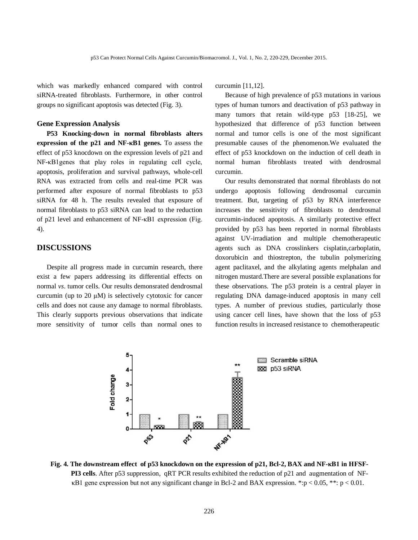which was markedly enhanced compared with control siRNA-treated fibroblasts. Furthermore, in other control groups no significant apoptosis was detected (Fig. 3).

## **Gene Expression Analysis**

**P53 Knocking-down in normal fibroblasts alters expression of the p21 and NF-κB1 genes.** To assess the effect of p53 knocdown on the expression levels of p21 and NF-κB1genes that play roles in regulating cell cycle, apoptosis, proliferation and survival pathways, whole-cell RNA was extracted from cells and real-time PCR was performed after exposure of normal fibroblasts to p53 siRNA for 48 h. The results revealed that exposure of normal fibroblasts to p53 siRNA can lead to the reduction of p21 level and enhancement of NF-κB1 expression (Fig. 4).

# **DISCUSSIONS**

Despite all progress made in curcumin research, there exist a few papers addressing its differential effects on normal *vs*. tumor cells. Our results demonsrated dendrosmal curcumin (up to 20 μM) is selectively cytotoxic for cancer cells and does not cause any damage to normal fibroblasts. This clearly supports previous observations that indicate more sensitivity of tumor cells than normal ones to curcumin [11,12].

Because of high prevalence of p53 mutations in various types of human tumors and deactivation of p53 pathway in many tumors that retain wild-type p53 [18-25], we hypothesized that difference of p53 function between normal and tumor cells is one of the most significant presumable causes of the phenomenon.We evaluated the effect of p53 knockdown on the induction of cell death in normal human fibroblasts treated with dendrosmal curcumin.

Our results demonstrated that normal fibroblasts do not undergo apoptosis following dendrosomal curcumin treatment. But, targeting of p53 by RNA interference increases the sensitivity of fibroblasts to dendrosmal curcumin-induced apoptosis. A similarly protective effect provided by p53 has been reported in normal fibroblasts against UV-irradiation and multiple chemotherapeutic agents such as DNA crosslinkers cisplatin,carboplatin, doxorubicin and thiostrepton, the tubulin polymerizing agent paclitaxel, and the alkylating agents melphalan and nitrogen mustard.There are several possible explanations for these observations. The p53 protein is a central player in regulating DNA damage-induced apoptosis in many cell types. A number of previous studies, particularly those using cancer cell lines, have shown that the loss of p53 function results in increased resistance to chemotherapeutic



**Fig. 4. The downstream effect of p53 knockdown on the expression of p21, Bcl-2, BAX and NF-κB1 in HFSF- PI3 cells**. After p53 suppression, qRT PCR results exhibited the reduction of p21 and augmentation of NF κB1 gene expression but not any significant change in Bcl-2 and BAX expression. \*:p < 0.05, \*\*: p < 0.01.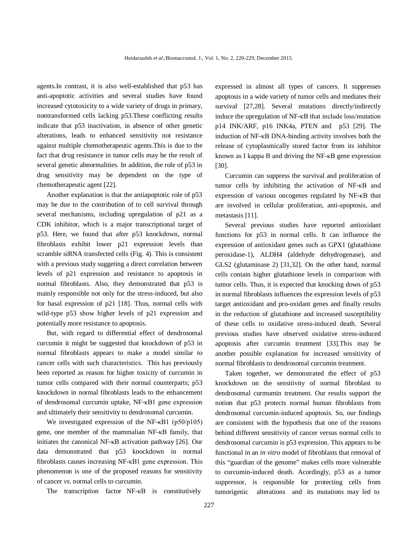agents.In contrast, it is also well-established that p53 has anti-apoptotic activities and several studies have found increased cytotoxicity to a wide variety of drugs in primary, nontransformed cells lacking p53.These conflicting results indicate that p53 inactivation, in absence of other genetic alterations, leads to enhanced sensitivity not resistance against multiple chemotherapeutic agents.This is due to the fact that drug resistance in tumor cells may be the result of several genetic abnormalities. In addition, the role of p53 in drug sensitivity may be dependent on the type of chemotherapeutic agent [22].

Another explanation is that the antiapoptotic role of p53 may be due to the contribution of to cell survival through several mechanisms, including upregulation of p21 as a CDK inhibitor, which is a major transcriptional target of p53. Here, we found that after p53 knockdown, normal fibroblasts exhibit lower p21 expression levels than scramble siRNA transfected cells (Fig. 4). This is consistent with a previous study suggeting a direct correlation between levels of p21 expression and resistance to apoptosis in normal fibroblasts. Also, they demonstrated that p53 is mainly responsible not only for the stress-induced, but also for basal expression of p21 [18]. Thus, normal cells with wild-type p53 show higher levels of p21 expression and potentially more resistance to apoptosis.

But, with regard to differential effect of dendrosomal curcumin it might be suggested that knockdown of p53 in normal fibroblasts appears to make a model similar to cancer cells with such characteristics. This has previously been reported as reason for higher toxicity of curcumin in tumor cells compared with their normal counterparts; p53 knockdown in normal fibroblasts leads to the enhancement of dendrosomal curcumin uptake, NF-κB1 gene expression and ultimately their sensitivity to dendrosomal curcumin.

We investigated expression of the NF-κB1 (p50/p105) gene, one member of the mammalian NF-κB family, that initiates the canonical NF-κB activation pathway [26]. Our data demonstrated that p53 knockdown in normal fibroblasts causes increasing NF-κB1 gene expression. This phenomenon is one of the proposed reasons for sensitivity of cancer *vs*. normal cells to curcumin.

The transcription factor NF-κB is constitutively

expressed in almost all types of cancers. It suppresses apoptosis in a wide variety of tumor cells and mediates their survival [27,28]. Several mutations directly/indirectly induce the upregulation of NF-κB that include loss/mutation p14 INK/ARF, p16 INK4a, PTEN and p53 [29]. The induction of NF-κB DNA-binding activity involves both the release of cytoplasmically stored factor from its inhibitor known as I kappa B and driving the NF-κB gene expression [30].

Curcumin can suppress the survival and proliferation of tumor cells by inhibiting the activation of NF-κB and expression of various oncogenes regulated by NF-κB that are involved in cellular proliferation, anti-apoptosis, and metastasis [11].

Several previous studies have reported antioxidant functions for p53 in normal cells. It can influence the expression of antioxidant genes such as GPX1 (glutathione peroxidase-1), ALDH4 (aldehyde dehydrogenase), and GLS2 (glutaminase 2) [31,32]. On the other hand, normal cells contain higher glutathione levels in comparison with tumor cells. Thus, it is expected that knocking down of p53 in normal fibroblasts influences the expression levels of p53 target antioxidant and pro-oxidant genes and finally results in the reduction of glutathione and increased susceptibility of these cells to oxidative stress-induced death. Several previous studies have observed oxidative stress-induced apoptosis after curcumin treatment [33].This may be another possible explanation for increased sensitivity of normal fibroblasts to dendrosomal curcumin treatment.

Taken together, we demonstrated the effect of p53 knockdown on the sensitivity of normal fibroblast to dendrosomal curmumin treatment. Our results support the notion that p53 protects normal human fibroblasts from dendrosomal curcumin-induced apoptosis. So, our findings are consistent with the hypothesis that one of the reasons behind different sensitivity of cancer versus normal cells to dendrosomal curcumin is p53 expression. This appears to be functional in an *in vitro* model of fibroblasts that removal of this "guardian of the genome" makes cells more vulnerable to curcumin-induced death. Acordingly, p53 as a tumor suppressor, is responsible for protecting cells from tumorigenic alterations and its mutations may led to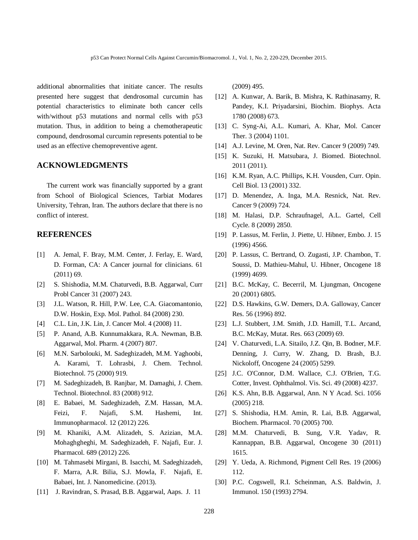additional abnormalities that initiate cancer. The results presented here suggest that dendrosomal curcumin has potential characteristics to eliminate both cancer cells with/without p53 mutations and normal cells with p53 mutation. Thus, in addition to being a chemotherapeutic compound, dendrosomal curcumin represents potential to be used as an effective chemopreventive agent.

## **ACKNOWLEDGMENTS**

The current work was financially supported by a grant from School of Biological Sciences, Tarbiat Modares University, Tehran, Iran. The authors declare that there is no conflict of interest.

## **REFERENCES**

- [1] A. Jemal, F. Bray, M.M. Center, J. Ferlay, E. Ward, D. Forman, CA: A Cancer journal for clinicians. 61 (2011) 69.
- [2] S. Shishodia, M.M. Chaturvedi, B.B. Aggarwal, Curr Probl Cancer 31 (2007) 243.
- [3] J.L. Watson, R. Hill, P.W. Lee, C.A. Giacomantonio, D.W. Hoskin, Exp. Mol. Pathol. 84 (2008) 230.
- [4] C.L. Lin, J.K. Lin, J. Cancer Mol. 4 (2008) 11.
- [5] P. Anand, A.B. Kunnumakkara, R.A. Newman, B.B. Aggarwal, Mol. Pharm. 4 (2007) 807.
- [6] M.N. Sarbolouki, M. Sadeghizadeh, M.M. Yaghoobi, A. Karami, T. Lohrasbi, J. Chem. Technol. Biotechnol. 75 (2000) 919.
- [7] M. Sadeghizadeh, B. Ranjbar, M. Damaghi, J. Chem. Technol. Biotechnol. 83 (2008) 912.
- [8] E. Babaei, M. Sadeghizadeh, Z.M. Hassan, M.A. Feizi, F. Najafi, S.M. Hashemi, Int. Immunopharmacol. 12 (2012) 226.
- [9] M. Khaniki, A.M. Alizadeh, S. Azizian, M.A. Mohaghgheghi, M. Sadeghizadeh, F. Najafi, Eur. J. Pharmacol. 689 (2012) 226.
- [10] M. Tahmasebi Mirgani, B. Isacchi, M. Sadeghizadeh, F. Marra, A.R. Bilia, S.J. Mowla, F. Najafi, E. Babaei, Int. J. Nanomedicine. (2013).
- [11] J. Ravindran, S. Prasad, B.B. Aggarwal, Aaps. J. 11

(2009) 495.

- [12] A. Kunwar, A. Barik, B. Mishra, K. Rathinasamy, R. Pandey, K.I. Priyadarsini, Biochim. Biophys. Acta 1780 (2008) 673.
- [13] C. Syng-Ai, A.L. Kumari, A. Khar, Mol. Cancer Ther. 3 (2004) 1101.
- [14] A.J. Levine, M. Oren, Nat. Rev. Cancer 9 (2009) 749.
- [15] K. Suzuki, H. Matsubara, J. Biomed. Biotechnol. 2011 (2011).
- [16] K.M. Ryan, A.C. Phillips, K.H. Vousden, Curr. Opin. Cell Biol. 13 (2001) 332.
- [17] D. Menendez, A. Inga, M.A. Resnick, Nat. Rev. Cancer 9 (2009) 724.
- [18] M. Halasi, D.P. Schraufnagel, A.L. Gartel, Cell Cycle. 8 (2009) 2850.
- [19] P. Lassus, M. Ferlin, J. Piette, U. Hibner, Embo. J. 15 (1996) 4566.
- [20] P. Lassus, C. Bertrand, O. Zugasti, J.P. Chambon, T. Soussi, D. Mathieu-Mahul, U. Hibner, Oncogene 18 (1999) 4699.
- [21] B.C. McKay, C. Becerril, M. Ljungman, Oncogene 20 (2001) 6805.
- [22] D.S. Hawkins, G.W. Demers, D.A. Galloway, Cancer Res. 56 (1996) 892.
- [23] L.J. Stubbert, J.M. Smith, J.D. Hamill, T.L. Arcand, B.C. McKay, Mutat. Res. 663 (2009) 69.
- [24] V. Chaturvedi, L.A. Sitailo, J.Z. Oin, B. Bodner, M.F. Denning, J. Curry, W. Zhang, D. Brash, B.J. Nickoloff, Oncogene 24 (2005) 5299.
- [25] J.C. O'Connor, D.M. Wallace, C.J. O'Brien, T.G. Cotter, Invest. Ophthalmol. Vis. Sci. 49 (2008) 4237.
- [26] K.S. Ahn, B.B. Aggarwal, Ann. N Y Acad. Sci. 1056 (2005) 218.
- [27] S. Shishodia, H.M. Amin, R. Lai, B.B. Aggarwal, Biochem. Pharmacol. 70 (2005) 700.
- [28] M.M. Chaturvedi, B. Sung, V.R. Yadav, R. Kannappan, B.B. Aggarwal, Oncogene 30 (2011) 1615.
- [29] Y. Ueda, A. Richmond, Pigment Cell Res. 19 (2006) 112.
- [30] P.C. Cogswell, R.I. Scheinman, A.S. Baldwin, J. Immunol. 150 (1993) 2794.